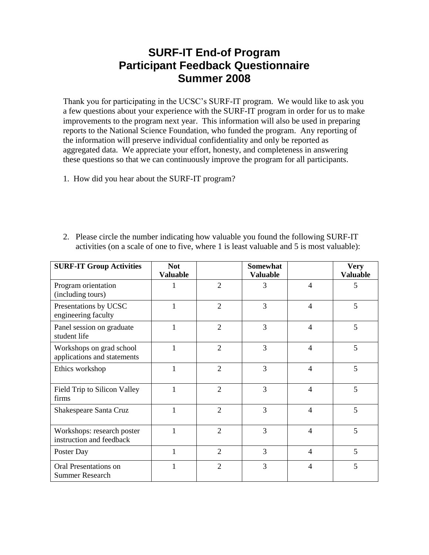## **SURF-IT End-of Program Participant Feedback Questionnaire Summer 2008**

Thank you for participating in the UCSC's SURF-IT program. We would like to ask you a few questions about your experience with the SURF-IT program in order for us to make improvements to the program next year. This information will also be used in preparing reports to the National Science Foundation, who funded the program. Any reporting of the information will preserve individual confidentiality and only be reported as aggregated data. We appreciate your effort, honesty, and completeness in answering these questions so that we can continuously improve the program for all participants.

1. How did you hear about the SURF-IT program?

| <b>SURF-IT Group Activities</b>                         | <b>Not</b><br><b>Valuable</b> |                | <b>Somewhat</b><br><b>Valuable</b> |                | <b>Very</b><br><b>Valuable</b> |
|---------------------------------------------------------|-------------------------------|----------------|------------------------------------|----------------|--------------------------------|
| Program orientation<br>(including tours)                |                               | $\overline{2}$ | 3                                  | $\overline{4}$ | 5                              |
| Presentations by UCSC<br>engineering faculty            |                               | $\overline{2}$ | 3                                  | $\overline{4}$ | 5                              |
| Panel session on graduate<br>student life               | 1                             | $\overline{2}$ | 3                                  | $\overline{4}$ | 5                              |
| Workshops on grad school<br>applications and statements |                               | $\overline{2}$ | 3                                  | $\overline{4}$ | 5                              |
| Ethics workshop                                         | 1                             | $\overline{2}$ | 3                                  | $\overline{4}$ | 5                              |
| Field Trip to Silicon Valley<br>firms                   |                               | $\overline{2}$ | 3                                  | $\overline{4}$ | 5                              |
| Shakespeare Santa Cruz                                  | 1                             | $\overline{2}$ | 3                                  | $\overline{4}$ | 5                              |
| Workshops: research poster<br>instruction and feedback  |                               | $\overline{2}$ | 3                                  | 4              | 5                              |
| Poster Day                                              | 1                             | $\overline{2}$ | 3                                  | $\overline{4}$ | 5                              |
| Oral Presentations on<br><b>Summer Research</b>         |                               | $\overline{2}$ | 3                                  | $\overline{4}$ | 5                              |

2. Please circle the number indicating how valuable you found the following SURF-IT activities (on a scale of one to five, where 1 is least valuable and 5 is most valuable):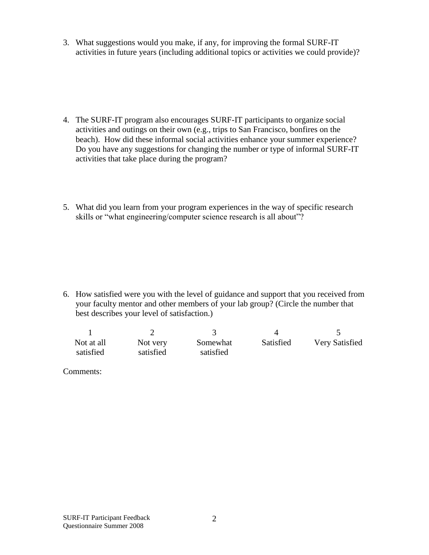3. What suggestions would you make, if any, for improving the formal SURF-IT activities in future years (including additional topics or activities we could provide)?

- 4. The SURF-IT program also encourages SURF-IT participants to organize social activities and outings on their own (e.g., trips to San Francisco, bonfires on the beach). How did these informal social activities enhance your summer experience? Do you have any suggestions for changing the number or type of informal SURF-IT activities that take place during the program?
- 5. What did you learn from your program experiences in the way of specific research skills or "what engineering/computer science research is all about"?

6. How satisfied were you with the level of guidance and support that you received from your faculty mentor and other members of your lab group? (Circle the number that best describes your level of satisfaction.)

| Not at all<br>satisfied | Not very<br>satisfied | Somewhat<br>satisfied | Satisfied | Very Satisfied |
|-------------------------|-----------------------|-----------------------|-----------|----------------|

Comments: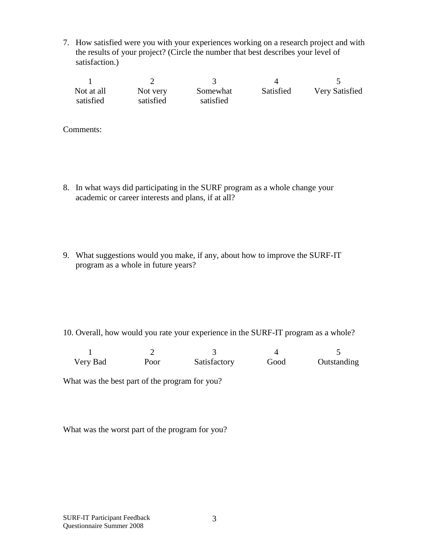7. How satisfied were you with your experiences working on a research project and with the results of your project? (Circle the number that best describes your level of satisfaction.)

| Not at all | Not very  | Somewhat  | Satisfied | Very Satisfied |
|------------|-----------|-----------|-----------|----------------|
| satisfied  | satisfied | satisfied |           |                |

Comments:

- 8. In what ways did participating in the SURF program as a whole change your academic or career interests and plans, if at all?
- 9. What suggestions would you make, if any, about how to improve the SURF-IT program as a whole in future years?

10. Overall, how would you rate your experience in the SURF-IT program as a whole?

| Very Bad | Poor | Satisfactory | Good | Outstanding |
|----------|------|--------------|------|-------------|

What was the best part of the program for you?

What was the worst part of the program for you?